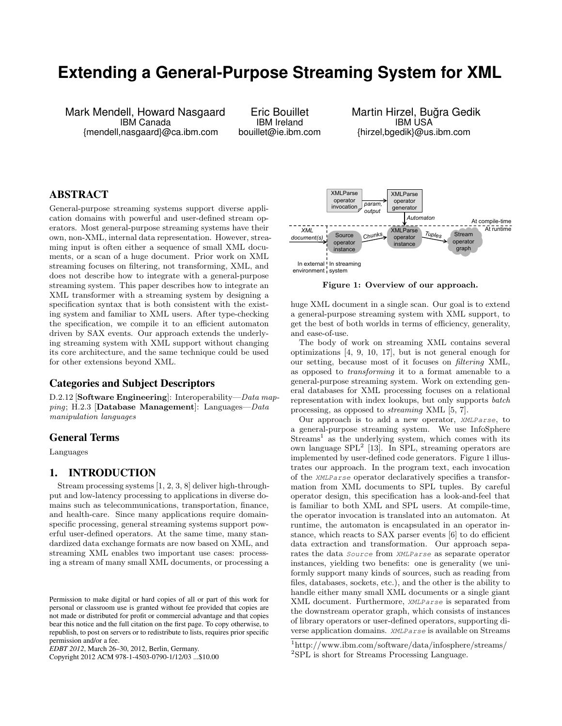# **Extending a General-Purpose Streaming System for XML**

Mark Mendell, Howard Nasgaard IBM Canada {mendell,nasgaard}@ca.ibm.com

Eric Bouillet IBM Ireland bouillet@ie.ibm.com Martin Hirzel, Bugra Gedik ˘ IBM USA {hirzel,bgedik}@us.ibm.com

## ABSTRACT

General-purpose streaming systems support diverse application domains with powerful and user-defined stream operators. Most general-purpose streaming systems have their own, non-XML, internal data representation. However, streaming input is often either a sequence of small XML documents, or a scan of a huge document. Prior work on XML streaming focuses on filtering, not transforming, XML, and does not describe how to integrate with a general-purpose streaming system. This paper describes how to integrate an XML transformer with a streaming system by designing a specification syntax that is both consistent with the existing system and familiar to XML users. After type-checking the specification, we compile it to an efficient automaton driven by SAX events. Our approach extends the underlying streaming system with XML support without changing its core architecture, and the same technique could be used for other extensions beyond XML.

## Categories and Subject Descriptors

D.2.12 [Software Engineering]: Interoperability—Data map $ping$ ; H.2.3 [Database Management]: Languages— $Data$ manipulation languages

#### General Terms

Languages

## 1. INTRODUCTION

Stream processing systems [1, 2, 3, 8] deliver high-throughput and low-latency processing to applications in diverse domains such as telecommunications, transportation, finance, and health-care. Since many applications require domainspecific processing, general streaming systems support powerful user-defined operators. At the same time, many standardized data exchange formats are now based on XML, and streaming XML enables two important use cases: processing a stream of many small XML documents, or processing a

Copyright 2012 ACM 978-1-4503-0790-1/12/03 ...\$10.00



Figure 1: Overview of our approach.

huge XML document in a single scan. Our goal is to extend a general-purpose streaming system with XML support, to get the best of both worlds in terms of efficiency, generality, and ease-of-use.

The body of work on streaming XML contains several optimizations [4, 9, 10, 17], but is not general enough for our setting, because most of it focuses on filtering XML, as opposed to transforming it to a format amenable to a general-purpose streaming system. Work on extending general databases for XML processing focuses on a relational representation with index lookups, but only supports batch processing, as opposed to streaming XML [5, 7].

Our approach is to add a new operator, XMLParse, to a general-purpose streaming system. We use InfoSphere Streams<sup>1</sup> as the underlying system, which comes with its own language  $SPL<sup>2</sup>$  [13]. In SPL, streaming operators are implemented by user-defined code generators. Figure 1 illustrates our approach. In the program text, each invocation of the XMLParse operator declaratively specifies a transformation from XML documents to SPL tuples. By careful operator design, this specification has a look-and-feel that is familiar to both XML and SPL users. At compile-time, the operator invocation is translated into an automaton. At runtime, the automaton is encapsulated in an operator instance, which reacts to SAX parser events [6] to do efficient data extraction and transformation. Our approach separates the data Source from XMLParse as separate operator instances, yielding two benefits: one is generality (we uniformly support many kinds of sources, such as reading from files, databases, sockets, etc.), and the other is the ability to handle either many small XML documents or a single giant XML document. Furthermore, XMLParse is separated from the downstream operator graph, which consists of instances of library operators or user-defined operators, supporting diverse application domains. XMLParse is available on Streams

Permission to make digital or hard copies of all or part of this work for personal or classroom use is granted without fee provided that copies are not made or distributed for profit or commercial advantage and that copies bear this notice and the full citation on the first page. To copy otherwise, to republish, to post on servers or to redistribute to lists, requires prior specific permission and/or a fee.

*EDBT 2012*, March 26–30, 2012, Berlin, Germany.

<sup>1</sup>http://www.ibm.com/software/data/infosphere/streams/ <sup>2</sup>SPL is short for Streams Processing Language.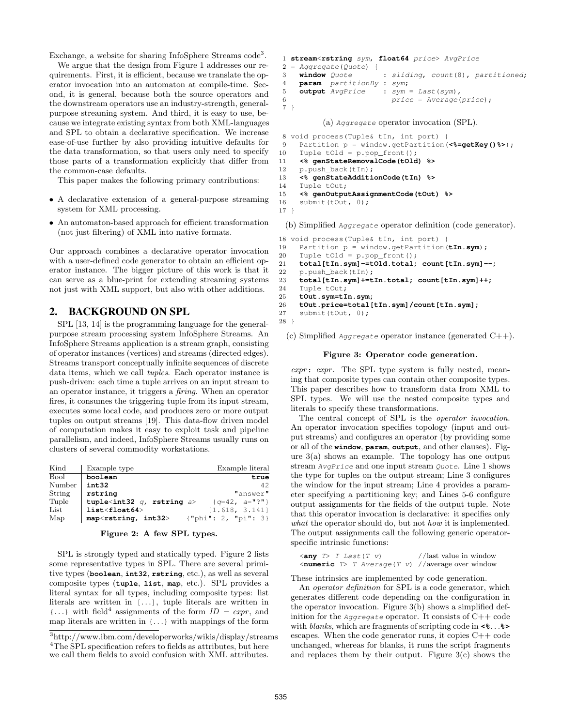Exchange, a website for sharing InfoSphere Streams code<sup>3</sup>.

We argue that the design from Figure 1 addresses our requirements. First, it is efficient, because we translate the operator invocation into an automaton at compile-time. Second, it is general, because both the source operators and the downstream operators use an industry-strength, generalpurpose streaming system. And third, it is easy to use, because we integrate existing syntax from both XML-languages and SPL to obtain a declarative specification. We increase ease-of-use further by also providing intuitive defaults for the data transformation, so that users only need to specify those parts of a transformation explicitly that differ from the common-case defaults.

This paper makes the following primary contributions:

- A declarative extension of a general-purpose streaming system for XML processing.
- An automaton-based approach for efficient transformation (not just filtering) of XML into native formats.

Our approach combines a declarative operator invocation with a user-defined code generator to obtain an efficient operator instance. The bigger picture of this work is that it can serve as a blue-print for extending streaming systems not just with XML support, but also with other additions.

## 2. BACKGROUND ON SPL

SPL [13, 14] is the programming language for the generalpurpose stream processing system InfoSphere Streams. An InfoSphere Streams application is a stream graph, consisting of operator instances (vertices) and streams (directed edges). Streams transport conceptually infinite sequences of discrete data items, which we call tuples. Each operator instance is push-driven: each time a tuple arrives on an input stream to an operator instance, it triggers a firing. When an operator fires, it consumes the triggering tuple from its input stream, executes some local code, and produces zero or more output tuples on output streams [19]. This data-flow driven model of computation makes it easy to exploit task and pipeline parallelism, and indeed, InfoSphere Streams usually runs on clusters of several commodity workstations.

| Kind   | Example type                                                | Example literal                |
|--------|-------------------------------------------------------------|--------------------------------|
| Bool   | boolean                                                     | true                           |
| Number | int32                                                       | 42                             |
| String | rstring                                                     | "answer"                       |
| Tuple  | tuple <int32 <math="">q, rstring <math>a</math>&gt;</int32> | $\{q=42, a=\{1\}$              |
| List   | $list <$ float $64$ >                                       | [1.618, 3.141]                 |
| Map    | map <rstring, int32=""></rstring,>                          | $\{\text{"phi": 2, "pi": 3}\}$ |

#### Figure 2: A few SPL types.

SPL is strongly typed and statically typed. Figure 2 lists some representative types in SPL. There are several primitive types (**boolean**, **int32**, **rstring**, etc.), as well as several composite types (**tuple**, **list**, **map**, etc.). SPL provides a literal syntax for all types, including composite types: list literals are written in  $[\,\ldots\,]$ , tuple literals are written in  $\{\ldots\}$  with field<sup>4</sup> assignments of the form  $ID = expr$ , and map literals are written in  $\{\ldots\}$  with mappings of the form

```
1 stream<rstring sym, float64 price> AvgPrice
2 = Aggregate(Quote) {
3 window Quote : sliding, count(8), partitioned;
4 param partitionBy : sym;
5 output AvgPrice : sym = Last(sym),
6 price = Average(price);
7 }
```
(a) Aggregate operator invocation (SPL).

```
8 void process(Tuple& tIn, int port) {
9 Partition p = window.getPartition(<%=getKey()%>);
10 Tuple tOld = p.pop_front();
11 <% genStateRemovalCode(tOld) %>
12 p.push back(tIn);
13 <% genStateAdditionCode(tIn) %>
14 Tuple tOut;
15 <% genOutputAssignmentCode(tOut) %>
16 submit(tOut, 0);
17 }
```
(b) Simplified Aggregate operator definition (code generator).

```
18 void process(Tuple& tIn, int port) {
19 Partition p = window.getPartition(tIn.sym);
20 Tuple tOld = p.pop_front();
21 total[tIn.sym]-=tOld.total; count[tIn.sym]--;
22 p.push_back(tIn);
23 total[tIn.sym]+=tIn.total; count[tIn.sym]++;
24 Tuple tOut;
25 tOut.sym=tIn.sym;
26 tOut.price=total[tIn.sym]/count[tIn.sym];
27 submit(tOut, 0);
28 }
```
(c) Simplified Aggregate operator instance (generated  $C++$ ).

#### Figure 3: Operator code generation.

expr: expr. The SPL type system is fully nested, meaning that composite types can contain other composite types. This paper describes how to transform data from XML to SPL types. We will use the nested composite types and literals to specify these transformations.

The central concept of SPL is the operator invocation. An operator invocation specifies topology (input and output streams) and configures an operator (by providing some or all of the **window**, **param**, **output**, and other clauses). Figure 3(a) shows an example. The topology has one output stream AvgPrice and one input stream Quote. Line 1 shows the type for tuples on the output stream; Line 3 configures the window for the input stream; Line 4 provides a parameter specifying a partitioning key; and Lines 5-6 configure output assignments for the fields of the output tuple. Note that this operator invocation is declarative: it specifies only what the operator should do, but not how it is implemented. The output assignments call the following generic operatorspecific intrinsic functions:

```
\langle \text{any} \rangle T Last(T v) //last value in window
<numeric T> T Average(T v) //average over window
```
These intrinsics are implemented by code generation.

An operator definition for SPL is a code generator, which generates different code depending on the configuration in the operator invocation. Figure 3(b) shows a simplified definition for the Aggregate operator. It consists of  $C++$  code with blanks, which are fragments of scripting code in **<%**. . .**%>** escapes. When the code generator runs, it copies C++ code unchanged, whereas for blanks, it runs the script fragments and replaces them by their output. Figure  $3(c)$  shows the

<sup>3</sup>http://www.ibm.com/developerworks/wikis/display/streams <sup>4</sup>The SPL specification refers to fields as attributes, but here we call them fields to avoid confusion with XML attributes.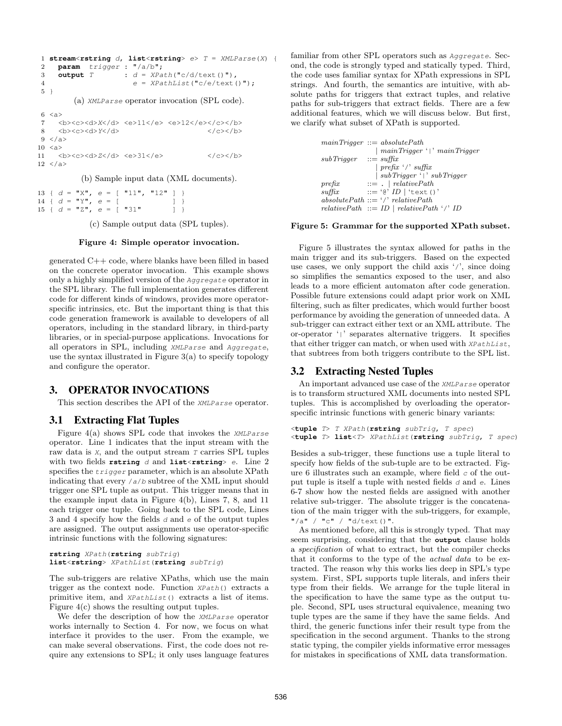```
1 stream<rstring d, list<rstring> e> T = XMLParse(X) {
2 param trigger : "/a/b";
3 output T : d = XPath("c/d/text()),
\begin{aligned} 4 \quad e &= \text{XPathList}(\text{''c/e/texte)}; \end{aligned}5 }
         (a) XMLParse operator invocation (SPL code).
6 \leq a7 <b><c><d>X</d> <e>11</e> <e>12</e></c></b>
     <b><c><d>Y</d>
9 \le /a10 \le a11 <b><c><d>Z</d> <e>31</e> </c></b>
12 \le /a>
```
(b) Sample input data (XML documents).

13 {  $d = "X", e = [' "11", "12" ]$ 14 {  $d = "Y", e = [$  ] } 15 {  $d = "Z", e = [ "31" ]$ 

(c) Sample output data (SPL tuples).

#### Figure 4: Simple operator invocation.

generated C++ code, where blanks have been filled in based on the concrete operator invocation. This example shows only a highly simplified version of the Aggregate operator in the SPL library. The full implementation generates different code for different kinds of windows, provides more operatorspecific intrinsics, etc. But the important thing is that this code generation framework is available to developers of all operators, including in the standard library, in third-party libraries, or in special-purpose applications. Invocations for all operators in SPL, including XMLParse and Aggregate, use the syntax illustrated in Figure  $3(a)$  to specify topology and configure the operator.

## 3. OPERATOR INVOCATIONS

This section describes the API of the XMLParse operator.

#### 3.1 Extracting Flat Tuples

Figure  $4(a)$  shows SPL code that invokes the *XMLParse* operator. Line 1 indicates that the input stream with the raw data is  $X$ , and the output stream  $T$  carries SPL tuples with two fields **rstring** d and **list**<**rstring**> e. Line 2 specifies the trigger parameter, which is an absolute XPath indicating that every  $/a/b$  subtree of the XML input should trigger one SPL tuple as output. This trigger means that in the example input data in Figure 4(b), Lines 7, 8, and 11 each trigger one tuple. Going back to the SPL code, Lines 3 and 4 specify how the fields  $d$  and  $e$  of the output tuples are assigned. The output assignments use operator-specific intrinsic functions with the following signatures:

```
rstring XPath(rstring subTrig)
list<rstring> XPathList(rstring subTrig)
```
The sub-triggers are relative XPaths, which use the main trigger as the context node. Function XPath() extracts a primitive item, and XPathList() extracts a list of items. Figure 4(c) shows the resulting output tuples.

We defer the description of how the XMLParse operator works internally to Section 4. For now, we focus on what interface it provides to the user. From the example, we can make several observations. First, the code does not require any extensions to SPL; it only uses language features

familiar from other SPL operators such as Aggregate. Second, the code is strongly typed and statically typed. Third, the code uses familiar syntax for XPath expressions in SPL strings. And fourth, the semantics are intuitive, with absolute paths for triggers that extract tuples, and relative paths for sub-triggers that extract fields. There are a few additional features, which we will discuss below. But first, we clarify what subset of XPath is supported.

```
mainTriqger ::= absolutePath| mainTrigger '|' mainTrigger
subTrigger :: = suffix| prefix '/' suffix
                 | subTrigger '|' subTrigger
\text{prefix} ::= . | relativePath
\text{suffix} \qquad ::= \text{`@'} \text{ID} | \text{`text()'}absolutePath ::= '/' relativePathrelativePath ::= ID | relativePath ' /' ID
```
#### Figure 5: Grammar for the supported XPath subset.

Figure 5 illustrates the syntax allowed for paths in the main trigger and its sub-triggers. Based on the expected use cases, we only support the child axis '/', since doing so simplifies the semantics exposed to the user, and also leads to a more efficient automaton after code generation. Possible future extensions could adapt prior work on XML filtering, such as filter predicates, which would further boost performance by avoiding the generation of unneeded data. A sub-trigger can extract either text or an XML attribute. The or-operator '|' separates alternative triggers. It specifies that either trigger can match, or when used with XPathList, that subtrees from both triggers contribute to the SPL list.

## 3.2 Extracting Nested Tuples

An important advanced use case of the XMLParse operator is to transform structured XML documents into nested SPL tuples. This is accomplished by overloading the operatorspecific intrinsic functions with generic binary variants:

```
<tuple T> T XPath(rstring subTrig, T spec)
<tuple T> list<T> XPathList(rstring subTrig, T spec)
```
Besides a sub-trigger, these functions use a tuple literal to specify how fields of the sub-tuple are to be extracted. Figure 6 illustrates such an example, where field  $c$  of the output tuple is itself a tuple with nested fields  $d$  and  $e$ . Lines 6-7 show how the nested fields are assigned with another relative sub-trigger. The absolute trigger is the concatenation of the main trigger with the sub-triggers, for example,  $"\ /a"$  /  $"c"$  /  $"d/text()$ ".

As mentioned before, all this is strongly typed. That may seem surprising, considering that the **output** clause holds a specification of what to extract, but the compiler checks that it conforms to the type of the actual data to be extracted. The reason why this works lies deep in SPL's type system. First, SPL supports tuple literals, and infers their type from their fields. We arrange for the tuple literal in the specification to have the same type as the output tuple. Second, SPL uses structural equivalence, meaning two tuple types are the same if they have the same fields. And third, the generic functions infer their result type from the specification in the second argument. Thanks to the strong static typing, the compiler yields informative error messages for mistakes in specifications of XML data transformation.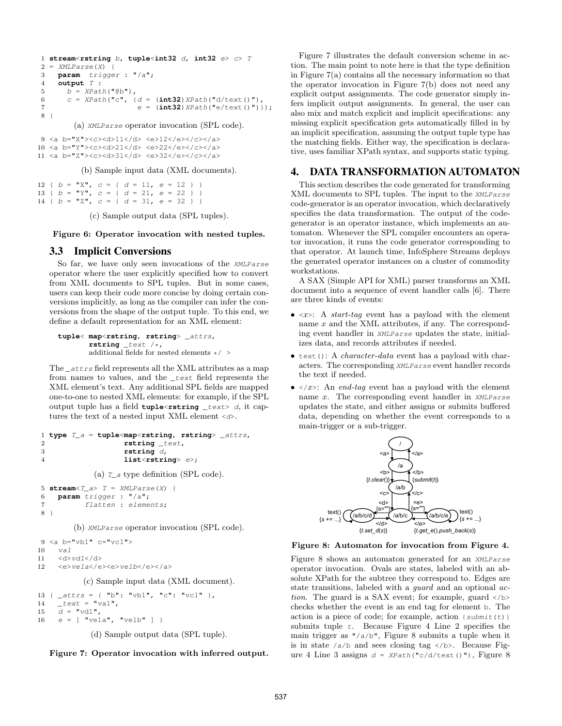```
1 stream<rstring b, tuple<int32 d, int32 e> c> T
2 = XMLParse(X) {
3 param trigger : "/a";
4 output T :
5 b = XPath("@b"),
6 c = XPath("c", \{d = (\text{int32}) XPath("d/text())",7 e = (\text{int32}) \, \text{XPath} \, (\text{"e/text"}) ;
8 }
```
(a) XMLParse operator invocation (SPL code).

9 <a b="X"><c><d>11</d> <e>12</e></c></a> 10 <a b="Y"><c><d>21</d> <e>22</e></c></a> 11 <a b="Z"><c><d>31</d> <e>32</e></c></a>

(b) Sample input data (XML documents).

12 {  $b = "X", c = { d = 11, e = 12 }$ 13 {  $b = "Y", c = { d = 21, e = 22 }$ 14 {  $b = "Z", c = { d = 31, e = 32 }$ 

(c) Sample output data (SPL tuples).

#### Figure 6: Operator invocation with nested tuples.

### 3.3 Implicit Conversions

So far, we have only seen invocations of the XMLParse operator where the user explicitly specified how to convert from XML documents to SPL tuples. But in some cases, users can keep their code more concise by doing certain conversions implicitly, as long as the compiler can infer the conversions from the shape of the output tuple. To this end, we define a default representation for an XML element:

**tuple**< **map**<**rstring**, **rstring**> \_attrs, **rstring** \_text /\*, additional fields for nested elements  $\star/$   $>$ 

The  $_{attrs}$  field represents all the XML attributes as a map from names to values, and the \_text field represents the XML element's text. Any additional SPL fields are mapped one-to-one to nested XML elements: for example, if the SPL output tuple has a field **tuple**<**rstring** \_text> d, it captures the text of a nested input XML element  $\langle d \rangle$ .

```
1 type T_a = tuple<map<rstring, rstring> _attrs,
2 rstring _text,
3 rstring d,
4 list<rstring> e>;
```
(a)  $T_a$  type definition (SPL code).

```
5 stream<T_a> T = XMLParse(X) {
6 param trigger : "/a";
7 flatten : elements;
8 }
```
(b) XMLParse operator invocation (SPL code).

```
9 \le a \le b="vb1" c="vc1">
10 va1
11 \langle d \rangle \langle v d \rangle \langle d \rangle12 <e>ve1a</e><e>ve1b</e></a>
```
(c) Sample input data (XML document).

13 {  $_{\text{a}}$   $_{\text{a}}$   $_{\text{at}}$   $_{\text{tr}}$   $_{\text{s}}$   $_{\text{m}}$   $_{\text{m}}$   $_{\text{m}}$   $_{\text{v}}$   $_{\text{m}}$   $_{\text{m}}$   $_{\text{m}}$   $_{\text{m}}$   $_{\text{m}}$   $_{\text{m}}$   $_{\text{m}}$   $_{\text{m}}$   $_{\text{m}}$   $_{\text{m}}$   $_{\text{m}}$   $_{\text{m}}$   $_{\text{m}}$   $_{\text{m}}$   $_{\text{m}}$   $\qquad$   $\qquad$   $\qquad$   $\qquad$   $\qquad$   $\qquad$   $\qquad$   $\qquad$   $\qquad$   $\qquad$   $\qquad$   $\qquad$   $\qquad$   $\qquad$   $\qquad$   $\qquad$   $\qquad$   $\qquad$   $\qquad$   $\qquad$   $\qquad$   $\qquad$   $\qquad$   $\qquad$   $\qquad$   $\qquad$   $\qquad$   $\qquad$   $\qquad$   $\qquad$   $\qquad$   $\qquad$   $\qquad$   $\qquad$   $\qquad$   $\qquad$   $\$  $\bar{d} = \text{''vd1''},$  $e = [\text{ "vela", "velb" } ]$ 

(d) Sample output data (SPL tuple).

Figure 7: Operator invocation with inferred output.

Figure 7 illustrates the default conversion scheme in action. The main point to note here is that the type definition in Figure 7(a) contains all the necessary information so that the operator invocation in Figure 7(b) does not need any explicit output assignments. The code generator simply infers implicit output assignments. In general, the user can also mix and match explicit and implicit specifications: any missing explicit specification gets automatically filled in by an implicit specification, assuming the output tuple type has the matching fields. Either way, the specification is declarative, uses familiar XPath syntax, and supports static typing.

## 4. DATA TRANSFORMATION AUTOMATON

This section describes the code generated for transforming XML documents to SPL tuples. The input to the XMLParse code-generator is an operator invocation, which declaratively specifies the data transformation. The output of the codegenerator is an operator instance, which implements an automaton. Whenever the SPL compiler encounters an operator invocation, it runs the code generator corresponding to that operator. At launch time, InfoSphere Streams deploys the generated operator instances on a cluster of commodity workstations.

A SAX (Simple API for XML) parser transforms an XML document into a sequence of event handler calls [6]. There are three kinds of events:

- $\langle x \rangle$ : A *start-tag* event has a payload with the element name x and the XML attributes, if any. The corresponding event handler in XMLParse updates the state, initializes data, and records attributes if needed.
- text(): A *character-data* event has a payload with characters. The corresponding XMLParse event handler records the text if needed.
- $\langle x \rangle$ : An *end-tag* event has a payload with the element name x. The corresponding event handler in XMLParse updates the state, and either assigns or submits buffered data, depending on whether the event corresponds to a main-trigger or a sub-trigger.



Figure 8: Automaton for invocation from Figure 4.

Figure 8 shows an automaton generated for an XMLParse operator invocation. Ovals are states, labeled with an absolute XPath for the subtree they correspond to. Edges are state transitions, labeled with a *quard* and an optional *ac*tion. The guard is a SAX event; for example, guard  $\langle \rangle$ checks whether the event is an end tag for element b. The action is a piece of code; for example, action  $\{submit(t)\}$ submits tuple  $t$ . Because Figure 4 Line 2 specifies the main trigger as "/a/b", Figure 8 submits a tuple when it is in state  $/a/b$  and sees closing tag  $\langle/b \rangle$ . Because Figure 4 Line 3 assigns  $d = XPath("c/d/text())$ , Figure 8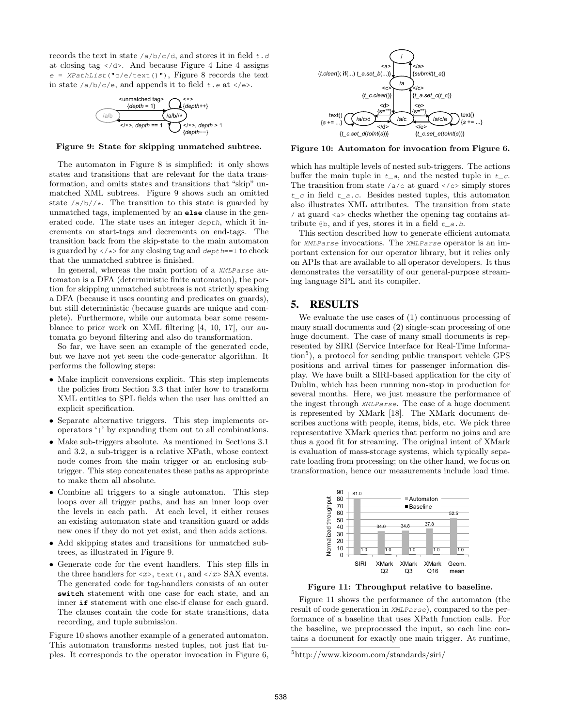records the text in state  $/a/b/c/d$ , and stores it in field  $t$ .d at closing tag  $\langle \rangle$  d>. And because Figure 4 Line 4 assigns  $e = \text{XPathList}(\text{``c/e/text)}$ ), Figure 8 records the text in state  $/a/b/c/e$ , and appends it to field  $t.e$  at  $\langle e \rangle$ .



Figure 9: State for skipping unmatched subtree.

The automaton in Figure 8 is simplified: it only shows states and transitions that are relevant for the data transformation, and omits states and transitions that "skip" unmatched XML subtrees. Figure 9 shows such an omitted state  $\frac{a}{b}/\sqrt{x}$ . The transition to this state is guarded by unmatched tags, implemented by an **else** clause in the generated code. The state uses an integer depth, which it increments on start-tags and decrements on end-tags. The transition back from the skip-state to the main automaton is guarded by  $\langle \rangle \times \rangle$  for any closing tag and depth==1 to check that the unmatched subtree is finished.

In general, whereas the main portion of a XMLParse automaton is a DFA (deterministic finite automaton), the portion for skipping unmatched subtrees is not strictly speaking a DFA (because it uses counting and predicates on guards), but still deterministic (because guards are unique and complete). Furthermore, while our automata bear some resemblance to prior work on XML filtering [4, 10, 17], our automata go beyond filtering and also do transformation.

So far, we have seen an example of the generated code, but we have not yet seen the code-generator algorithm. It performs the following steps:

- Make implicit conversions explicit. This step implements the policies from Section 3.3 that infer how to transform XML entities to SPL fields when the user has omitted an explicit specification.
- Separate alternative triggers. This step implements oroperators '|' by expanding them out to all combinations.
- Make sub-triggers absolute. As mentioned in Sections 3.1 and 3.2, a sub-trigger is a relative XPath, whose context node comes from the main trigger or an enclosing subtrigger. This step concatenates these paths as appropriate to make them all absolute.
- Combine all triggers to a single automaton. This step loops over all trigger paths, and has an inner loop over the levels in each path. At each level, it either reuses an existing automaton state and transition guard or adds new ones if they do not yet exist, and then adds actions.
- Add skipping states and transitions for unmatched subtrees, as illustrated in Figure 9.
- Generate code for the event handlers. This step fills in the three handlers for  $\langle x \rangle$ , text(), and  $\langle x \rangle$  SAX events. The generated code for tag-handlers consists of an outer **switch** statement with one case for each state, and an inner **if** statement with one else-if clause for each guard. The clauses contain the code for state transitions, data recording, and tuple submission.

Figure 10 shows another example of a generated automaton. This automaton transforms nested tuples, not just flat tuples. It corresponds to the operator invocation in Figure 6,



Figure 10: Automaton for invocation from Figure 6.

which has multiple levels of nested sub-triggers. The actions buffer the main tuple in  $t_{-}a$ , and the nested tuple in  $t_{-}c$ . The transition from state  $/a/c$  at guard  $c/c$  simply stores  $t_c$  in field  $t_a$ .c. Besides nested tuples, this automaton also illustrates XML attributes. The transition from state / at guard <a> checks whether the opening tag contains attribute  $\mathcal{Q}_b$ , and if yes, stores it in a field  $t_a$ .b.

This section described how to generate efficient automata for XMLParse invocations. The XMLParse operator is an important extension for our operator library, but it relies only on APIs that are available to all operator developers. It thus demonstrates the versatility of our general-purpose streaming language SPL and its compiler.

## 5. RESULTS

We evaluate the use cases of (1) continuous processing of many small documents and (2) single-scan processing of one huge document. The case of many small documents is represented by SIRI (Service Interface for Real-Time Information<sup>5</sup>), a protocol for sending public transport vehicle GPS positions and arrival times for passenger information display. We have built a SIRI-based application for the city of Dublin, which has been running non-stop in production for several months. Here, we just measure the performance of the ingest through XMLParse. The case of a huge document is represented by XMark [18]. The XMark document describes auctions with people, items, bids, etc. We pick three representative XMark queries that perform no joins and are thus a good fit for streaming. The original intent of XMark is evaluation of mass-storage systems, which typically separate loading from processing; on the other hand, we focus on transformation, hence our measurements include load time.



Figure 11: Throughput relative to baseline.

Figure 11 shows the performance of the automaton (the result of code generation in XMLParse), compared to the performance of a baseline that uses XPath function calls. For the baseline, we preprocessed the input, so each line contains a document for exactly one main trigger. At runtime,

<sup>5</sup>http://www.kizoom.com/standards/siri/